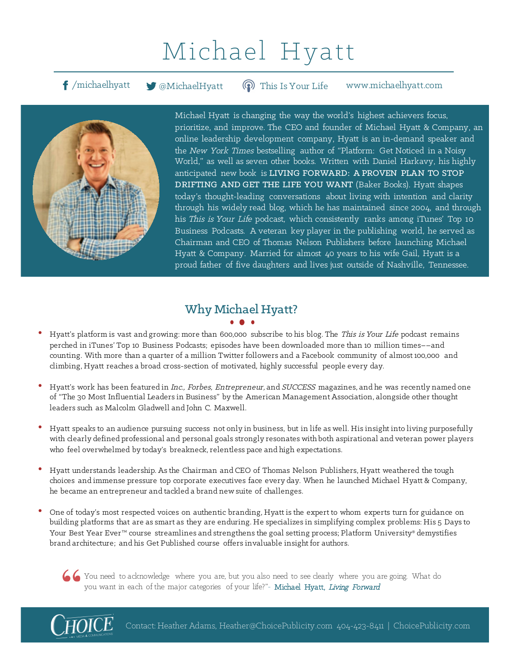# Michael Hyatt

f /michaelhyatt **M** @MichaelHyatt **@** This Is Your Life www.michaelhyatt.com This Is Your Life



Michael Hyatt is changing the way the world's highest achievers focus, prioritize, and improve. The CEO and founder of Michael Hyatt & Company, an online leadership development company, Hyatt is an in-demand speaker and the New York Times bestselling author of "Platform: Get Noticed in a Noisy World," as well as seven other books. Written with Daniel Harkavy, his highly anticipated new book is LIVING FORWARD: A PROVEN PLAN TO STOP DRIFTING AND GET THE LIFE YOU WANT (Baker Books). Hyatt shapes today's thought-leading conversations about living with intention and clarity through his widely read blog, which he has maintained since 2004, and through his This is Your Life podcast, which consistently ranks among iTunes' Top 10 Business Podcasts. A veteran key player in the publishing world, he served as Chairman and CEO of Thomas Nelson Publishers before launching Michael Hyatt & Company. Married for almost 40 years to his wife Gail, Hyatt is a proud father of five daughters and lives just outside of Nashville, Tennessee.

### Why Michael Hyatt?

- Hyatt's platform is vast and growing: more than 600,000 subscribe to his blog. The This is Your Life podcast remains perched in iTunes' Top 10 Business Podcasts; episodes have been downloaded more than 10 million times––and counting. With more than a quarter of a million Twitter followers and a Facebook community of almost 100,000 and climbing, Hyatt reaches a broad cross-section of motivated, highly successful people every day.
- Hyatt's work has been featured in Inc., Forbes, Entrepreneur, and SUCCESS magazines, and he was recently named one of "The 30 Most Influential Leaders in Business" by the American Management Association, alongside other thought leaders such as Malcolm Gladwell and John C. Maxwell.
- Hyatt speaks to an audience pursuing success not only in business, but in life as well. His insight into living purposefully with clearly defined professional and personal goals strongly resonates with both aspirational and veteran power players who feel overwhelmed by today's breakneck, relentless pace and high expectations.
- Hyatt understands leadership. As the Chairman and CEO of Thomas Nelson Publishers, Hyatt weathered the tough choices and immense pressure top corporate executives face every day. When he launched Michael Hyatt & Company, he became an entrepreneur and tackled a brand new suite of challenges.
- One of today's most respected voices on authentic branding, Hyatt is the expert to whom experts turn for guidance on building platforms that are as smart as they are enduring. He specializes in simplifying complex problems: His 5 Days to Your Best Year Ever™ course streamlines and strengthens the goal setting process; Platform University® demystifies brand architecture; and his Get Published course offers invaluable insight for authors.

You need to acknowledge where you are, but you also need to see clearly where you are going. What do you want in each of the major categories of your life?"- Michael Hyatt, Living Forward